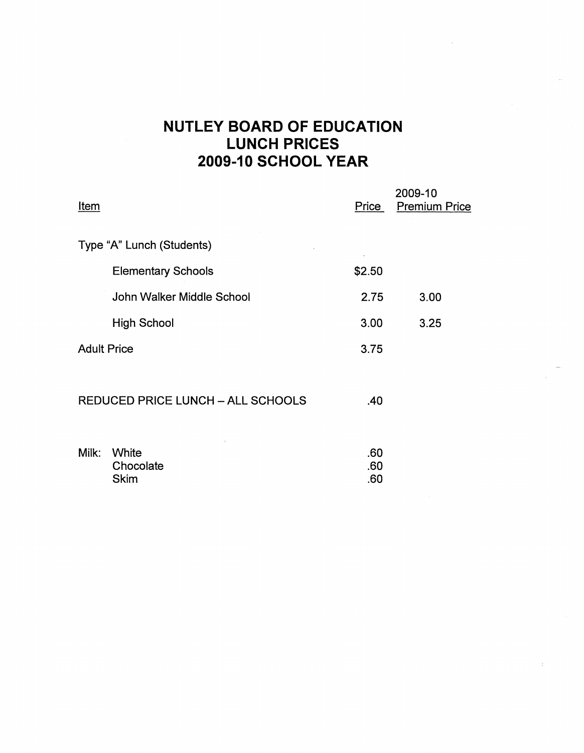## **NUTLEY BOARD OF EDUCATION LUNCH PRICES 2009-10 SCHOOL YEAR**

| Item                                     |                           | Price      | 2009-10<br><b>Premium Price</b> |
|------------------------------------------|---------------------------|------------|---------------------------------|
|                                          | Type "A" Lunch (Students) |            |                                 |
|                                          | <b>Elementary Schools</b> | \$2.50     |                                 |
|                                          | John Walker Middle School | 2.75       | 3.00                            |
|                                          | <b>High School</b>        | 3.00       | 3.25                            |
| <b>Adult Price</b>                       |                           | 3.75       |                                 |
| <b>REDUCED PRICE LUNCH - ALL SCHOOLS</b> |                           | .40        |                                 |
| Milk:                                    | White<br>Chocolate        | .60<br>.60 |                                 |

Skim .60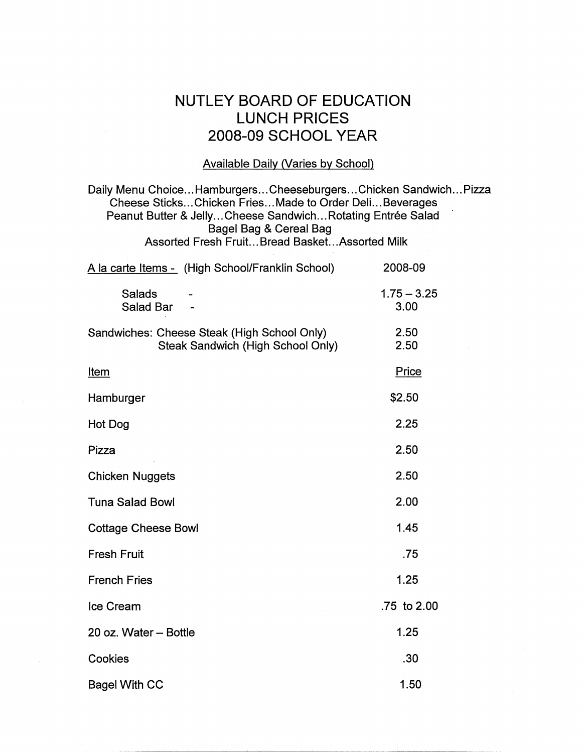## NUTLEY BOARD OF EDUCATION LUNCH PRICES 2008-09 SCHOOL YEAR

## Available Daily (Varies by School)

Daily Menu Choice ... Hamburgers ... Cheeseburgers ... Chicken Sandwich ... Pizza Cheese Sticks ... Chicken Fries ... Made to Order Deli ... Beverages Peanut Butter & Jelly... Cheese Sandwich... Rotating Entrée Salad Bagel Bag & Cereal Bag Assorted Fresh Fruit... Bread Basket.. .Assorted Milk A la carte Items - (High School/Franklin School) 2008-09  $1.75 - 3.25$ Salads Salad Bar 3.00  $\ddot{\phantom{a}}$ Sandwiches: Cheese Steak (High School Only) 2.50 Steak Sandwich (High School Only) 2.50 Item Price **Hamburger** \$2.50 2.25 Hot Dog Pizza 2.50 Chicken Nuggets 2.50 Tuna Salad Bowl 2.00 Cottage Cheese Bowl 1.45 Fresh Fruit .75 1.25 French Fries Ice Cream .75 to 2.00 1.25 20 oz. Water - Bottle

| Cookies              |  |  |
|----------------------|--|--|
| <b>Bagel With CC</b> |  |  |

.30

1.50